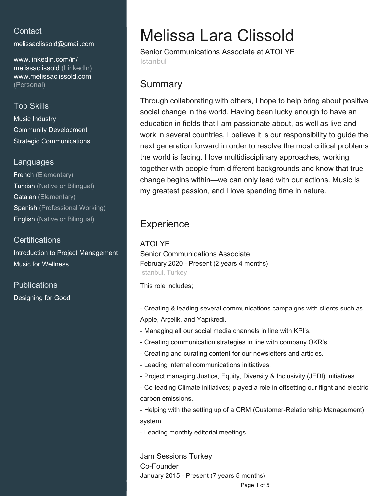# **Contact**

[melissaclissold@gmail.com](mailto:melissaclissold@gmail.com)

[www.linkedin.com/in/](https://www.linkedin.com/in/melissaclissold?jobid=1234&lipi=urn%3Ali%3Apage%3Ad_jobs_easyapply_pdfgenresume%3BGnL3QYeHRvKbDCC0qHGRlw%3D%3D&licu=urn%3Ali%3Acontrol%3Ad_jobs_easyapply_pdfgenresume-v02_profile) [melissaclissold \(LinkedIn\)](https://www.linkedin.com/in/melissaclissold?jobid=1234&lipi=urn%3Ali%3Apage%3Ad_jobs_easyapply_pdfgenresume%3BGnL3QYeHRvKbDCC0qHGRlw%3D%3D&licu=urn%3Ali%3Acontrol%3Ad_jobs_easyapply_pdfgenresume-v02_profile) [www.melissaclissold.com](http://www.melissaclissold.com) [\(Personal\)](http://www.melissaclissold.com)

## Top Skills

Music Industry Community Development Strategic Communications

## Languages

French (Elementary) Turkish (Native or Bilingual) Catalan (Elementary) Spanish (Professional Working) English (Native or Bilingual)

## **Certifications**

Introduction to Project Management Music for Wellness

## **Publications** Designing for Good

# Melissa Lara Clissold

Senior Communications Associate at ATOLYE **Istanbul** 

# **Summary**

Through collaborating with others, I hope to help bring about positive social change in the world. Having been lucky enough to have an education in fields that I am passionate about, as well as live and work in several countries, I believe it is our responsibility to guide the next generation forward in order to resolve the most critical problems the world is facing. I love multidisciplinary approaches, working together with people from different backgrounds and know that true change begins within—we can only lead with our actions. Music is my greatest passion, and I love spending time in nature.

# **Experience**

## ATOLYE

Senior Communications Associate February 2020 - Present (2 years 4 months) Istanbul, Turkey

This role includes;

- Creating & leading several communications campaigns with clients such as Apple, Arçelik, and Yapıkredi.

- Managing all our social media channels in line with KPI's.
- Creating communication strategies in line with company OKR's.
- Creating and curating content for our newsletters and articles.
- Leading internal communications initiatives.
- Project managing Justice, Equity, Diversity & Inclusivity (JEDI) initiatives.
- Co-leading Climate initiatives; played a role in offsetting our flight and electric carbon emissions.

- Helping with the setting up of a CRM (Customer-Relationship Management) system.

- Leading monthly editorial meetings.

Jam Sessions Turkey Co-Founder January 2015 - Present (7 years 5 months)

Page 1 of 5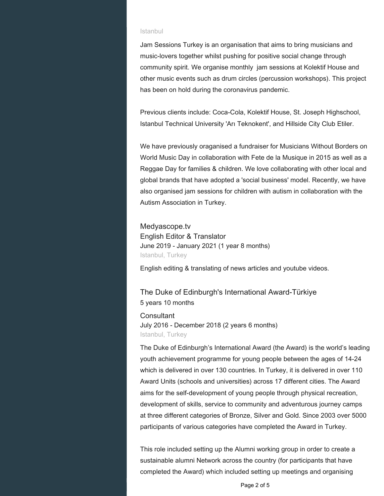#### Istanbul

Jam Sessions Turkey is an organisation that aims to bring musicians and music-lovers together whilst pushing for positive social change through community spirit. We organise monthly jam sessions at Kolektif House and other music events such as drum circles (percussion workshops). This project has been on hold during the coronavirus pandemic.

Previous clients include: Coca-Cola, Kolektif House, St. Joseph Highschool, Istanbul Technical University 'Arı Teknokent', and Hillside City Club Etiler.

We have previously oraganised a fundraiser for Musicians Without Borders on World Music Day in collaboration with Fete de la Musique in 2015 as well as a Reggae Day for families & children. We love collaborating with other local and global brands that have adopted a 'social business' model. Recently, we have also organised jam sessions for children with autism in collaboration with the Autism Association in Turkey.

Medyascope.tv English Editor & Translator June 2019 - January 2021 (1 year 8 months) Istanbul, Turkey

English editing & translating of news articles and youtube videos.

The Duke of Edinburgh's International Award-Türkiye 5 years 10 months

**Consultant** July 2016 - December 2018 (2 years 6 months) Istanbul, Turkey

The Duke of Edinburgh's International Award (the Award) is the world's leading youth achievement programme for young people between the ages of 14-24 which is delivered in over 130 countries. In Turkey, it is delivered in over 110 Award Units (schools and universities) across 17 different cities. The Award aims for the self-development of young people through physical recreation, development of skills, service to community and adventurous journey camps at three different categories of Bronze, Silver and Gold. Since 2003 over 5000 participants of various categories have completed the Award in Turkey.

This role included setting up the Alumni working group in order to create a sustainable alumni Network across the country (for participants that have completed the Award) which included setting up meetings and organising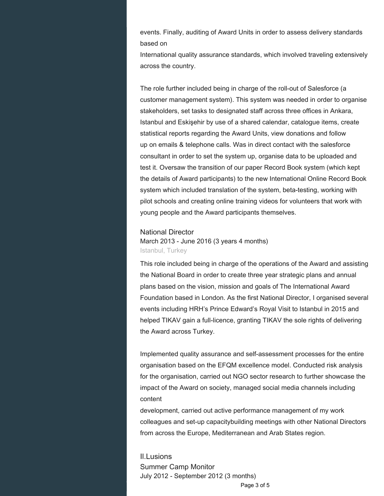events. Finally, auditing of Award Units in order to assess delivery standards based on

International quality assurance standards, which involved traveling extensively across the country.

The role further included being in charge of the roll-out of Salesforce (a customer management system). This system was needed in order to organise stakeholders, set tasks to designated staff across three offices in Ankara, Istanbul and Eskişehir by use of a shared calendar, catalogue items, create statistical reports regarding the Award Units, view donations and follow up on emails & telephone calls. Was in direct contact with the salesforce consultant in order to set the system up, organise data to be uploaded and test it. Oversaw the transition of our paper Record Book system (which kept the details of Award participants) to the new International Online Record Book system which included translation of the system, beta-testing, working with pilot schools and creating online training videos for volunteers that work with young people and the Award participants themselves.

#### National Director

March 2013 - June 2016 (3 years 4 months) Istanbul, Turkey

This role included being in charge of the operations of the Award and assisting the National Board in order to create three year strategic plans and annual plans based on the vision, mission and goals of The International Award Foundation based in London. As the first National Director, I organised several events including HRH's Prince Edward's Royal Visit to Istanbul in 2015 and helped TIKAV gain a full-licence, granting TIKAV the sole rights of delivering the Award across Turkey.

Implemented quality assurance and self-assessment processes for the entire organisation based on the EFQM excellence model. Conducted risk analysis for the organisation, carried out NGO sector research to further showcase the impact of the Award on society, managed social media channels including content

development, carried out active performance management of my work colleagues and set-up capacitybuilding meetings with other National Directors from across the Europe, Mediterranean and Arab States region.

Il.Lusions Summer Camp Monitor July 2012 - September 2012 (3 months)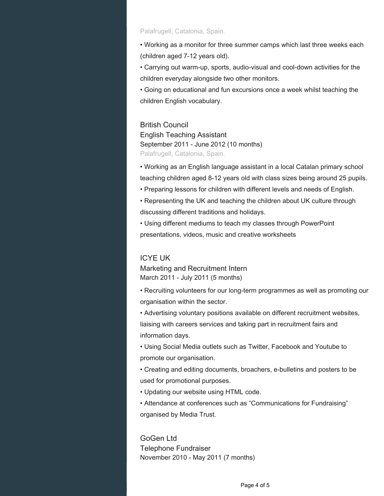#### Palafrugell, Catalonia, Spain.

• Working as a monitor for three summer camps which last three weeks each (children aged 7-12 years old).

• Carrying out warm-up, sports, audio-visual and cool-down activities for the children everyday alongside two other monitors.

• Going on educational and fun excursions once a week whilst teaching the children English vocabulary.

#### British Council

English Teaching Assistant September 2011 - June 2012 (10 months) Palafrugell, Catalonia, Spain.

• Working as an English language assistant in a local Catalan primary school teaching children aged 8-12 years old with class sizes being around 25 pupils.

• Preparing lessons for children with different levels and needs of English.

• Representing the UK and teaching the children about UK culture through discussing different traditions and holidays.

• Using different mediums to teach my classes through PowerPoint presentations, videos, music and creative worksheets

## ICYE UK

Marketing and Recruitment Intern March 2011 - July 2011 (5 months)

• Recruiting volunteers for our long-term programmes as well as promoting our organisation within the sector.

• Advertising voluntary positions available on different recruitment websites, liaising with careers services and taking part in recruitment fairs and information days.

• Using Social Media outlets such as Twitter, Facebook and Youtube to promote our organisation.

• Creating and editing documents, broachers, e-bulletins and posters to be used for promotional purposes.

• Updating our website using HTML code.

• Attendance at conferences such as "Communications for Fundraising" organised by Media Trust.

GoGen Ltd Telephone Fundraiser November 2010 - May 2011 (7 months)